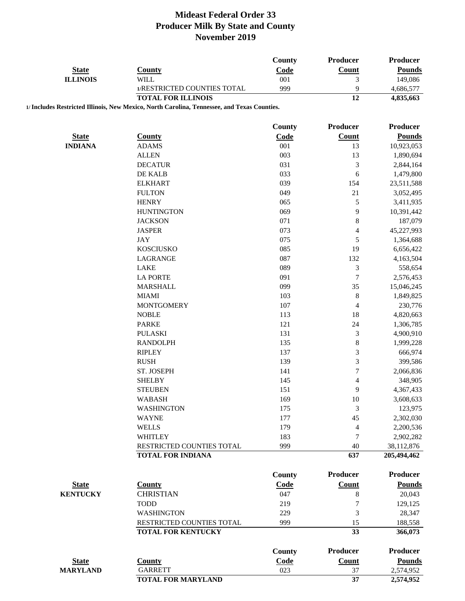| <b>State</b>    | <b>County</b>                                                                               | <b>County</b><br>Code | Producer<br><b>Count</b> | <b>Producer</b><br><b>Pounds</b> |
|-----------------|---------------------------------------------------------------------------------------------|-----------------------|--------------------------|----------------------------------|
| <b>ILLINOIS</b> | <b>WILL</b><br>1/RESTRICTED COUNTIES TOTAL                                                  | 001<br>999            | 3<br>9                   | 149,086<br>4,686,577             |
|                 | <b>TOTAL FOR ILLINOIS</b>                                                                   |                       | 12                       | 4,835,663                        |
|                 | 1/ Includes Restricted Illinois, New Mexico, North Carolina, Tennessee, and Texas Counties. |                       |                          |                                  |
|                 |                                                                                             | County                | <b>Producer</b>          | <b>Producer</b>                  |
| <b>State</b>    | <b>County</b>                                                                               | Code                  | <b>Count</b>             | <b>Pounds</b>                    |
| <b>INDIANA</b>  | <b>ADAMS</b>                                                                                | 001                   | 13                       | 10,923,053                       |
|                 | <b>ALLEN</b>                                                                                | 003                   | 13                       | 1,890,694                        |
|                 | <b>DECATUR</b>                                                                              | 031                   | 3                        | 2,844,164                        |
|                 | DE KALB                                                                                     | 033                   | 6                        | 1,479,800                        |
|                 | <b>ELKHART</b>                                                                              | 039                   | 154                      | 23,511,588                       |
|                 | <b>FULTON</b>                                                                               | 049                   | 21                       | 3,052,495                        |
|                 | <b>HENRY</b>                                                                                | 065                   | 5                        | 3,411,935                        |
|                 | <b>HUNTINGTON</b>                                                                           | 069                   | 9                        | 10,391,442                       |
|                 | <b>JACKSON</b>                                                                              | 071                   | $\,8$                    | 187,079                          |
|                 | <b>JASPER</b>                                                                               | 073                   | 4                        | 45,227,993                       |
|                 | <b>JAY</b>                                                                                  | 075                   | 5                        | 1,364,688                        |
|                 | <b>KOSCIUSKO</b>                                                                            | 085                   | 19                       | 6,656,422                        |
|                 | LAGRANGE                                                                                    | 087                   | 132                      | 4,163,504                        |
|                 | LAKE                                                                                        | 089                   | $\mathfrak{Z}$           | 558,654                          |
|                 | <b>LA PORTE</b>                                                                             | 091                   | 7                        | 2,576,453                        |
|                 | <b>MARSHALL</b>                                                                             | 099                   | 35                       | 15,046,245                       |
|                 | <b>MIAMI</b>                                                                                | 103                   | $\,8$                    | 1,849,825                        |
|                 | <b>MONTGOMERY</b>                                                                           | 107                   | 4                        | 230,776                          |
|                 | <b>NOBLE</b>                                                                                | 113                   | 18                       | 4,820,663                        |
|                 | <b>PARKE</b>                                                                                | 121                   | 24                       | 1,306,785                        |
|                 | <b>PULASKI</b>                                                                              | 131                   | $\mathfrak{Z}$           | 4,900,910                        |
|                 | <b>RANDOLPH</b>                                                                             | 135                   | $\,8$                    | 1,999,228                        |
|                 | <b>RIPLEY</b>                                                                               | 137                   | $\mathfrak{Z}$           | 666,974                          |
|                 | <b>RUSH</b>                                                                                 | 139                   | 3                        | 399,586                          |
|                 | ST. JOSEPH                                                                                  | 141                   | $\sqrt{ }$               | 2,066,836                        |
|                 | <b>SHELBY</b>                                                                               | 145                   | 4                        | 348,905                          |
|                 | <b>STEUBEN</b>                                                                              | 151                   | 9                        | 4,367,433                        |
|                 | <b>WABASH</b>                                                                               | 169                   | 10                       | 3,608,633                        |
|                 | <b>WASHINGTON</b>                                                                           | 175                   | 3                        | 123,975                          |
|                 | <b>WAYNE</b>                                                                                | 177                   | 45                       | 2,302,030                        |
|                 | <b>WELLS</b>                                                                                | 179                   | 4                        | 2,200,536                        |
|                 | <b>WHITLEY</b>                                                                              | 183                   | 7                        | 2,902,282                        |
|                 | RESTRICTED COUNTIES TOTAL                                                                   | 999                   | 40                       | 38,112,876                       |
|                 | <b>TOTAL FOR INDIANA</b>                                                                    |                       | 637                      | 205,494,462                      |
|                 |                                                                                             | County                | <b>Producer</b>          | <b>Producer</b>                  |
|                 |                                                                                             |                       | <b>Count</b>             | <b>Pounds</b>                    |
| <b>State</b>    | <b>County</b>                                                                               | <b>Code</b>           |                          |                                  |
| <b>KENTUCKY</b> | <b>CHRISTIAN</b>                                                                            | 047                   | 8                        | 20,043                           |
|                 | <b>TODD</b>                                                                                 | 219                   | 7                        | 129,125                          |
|                 | <b>WASHINGTON</b>                                                                           | 229                   | 3                        | 28,347                           |
|                 | RESTRICTED COUNTIES TOTAL<br><b>TOTAL FOR KENTUCKY</b>                                      | 999                   | 15<br>33                 | 188,558<br>366,073               |
|                 |                                                                                             |                       |                          |                                  |
|                 |                                                                                             | County                | <b>Producer</b>          | <b>Producer</b>                  |
| <b>State</b>    | <b>County</b>                                                                               | Code                  | <b>Count</b>             | <b>Pounds</b>                    |
| <b>MARYLAND</b> | <b>GARRETT</b>                                                                              | 023                   | 37                       | 2,574,952                        |
|                 | <b>TOTAL FOR MARYLAND</b>                                                                   |                       | 37                       | 2,574,952                        |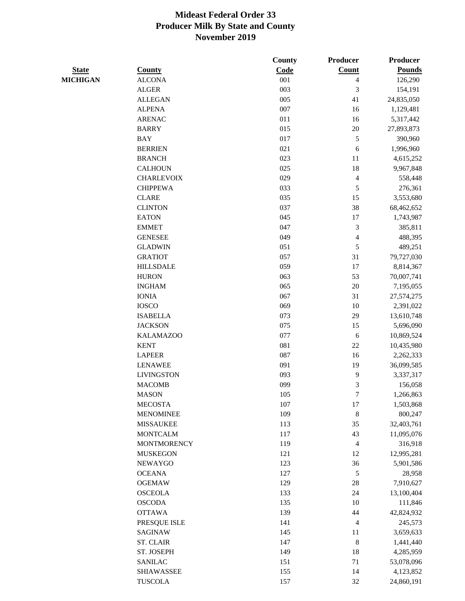|                 |                    | <b>County</b> | Producer                 | <b>Producer</b> |
|-----------------|--------------------|---------------|--------------------------|-----------------|
| <b>State</b>    | <b>County</b>      | Code          | Count                    | <b>Pounds</b>   |
| <b>MICHIGAN</b> | <b>ALCONA</b>      | 001           | 4                        | 126,290         |
|                 | <b>ALGER</b>       | 003           | 3                        | 154,191         |
|                 | <b>ALLEGAN</b>     | 005           | 41                       | 24,835,050      |
|                 | <b>ALPENA</b>      | 007           | 16                       | 1,129,481       |
|                 | <b>ARENAC</b>      | 011           | 16                       | 5,317,442       |
|                 | <b>BARRY</b>       | 015           | 20                       | 27,893,873      |
|                 | <b>BAY</b>         | 017           | $\mathfrak s$            | 390,960         |
|                 | <b>BERRIEN</b>     | 021           | 6                        | 1,996,960       |
|                 | <b>BRANCH</b>      | 023           | 11                       | 4,615,252       |
|                 | <b>CALHOUN</b>     | 025           | 18                       | 9,967,848       |
|                 | <b>CHARLEVOIX</b>  | 029           | $\overline{\mathcal{A}}$ | 558,448         |
|                 | <b>CHIPPEWA</b>    | 033           | 5                        | 276,361         |
|                 | <b>CLARE</b>       | 035           | 15                       | 3,553,680       |
|                 | <b>CLINTON</b>     | 037           | 38                       | 68,462,652      |
|                 | <b>EATON</b>       | 045           | 17                       | 1,743,987       |
|                 | <b>EMMET</b>       | 047           | 3                        | 385,811         |
|                 | <b>GENESEE</b>     | 049           | $\overline{\mathcal{A}}$ | 488,395         |
|                 | <b>GLADWIN</b>     | 051           | $\mathfrak s$            | 489,251         |
|                 | <b>GRATIOT</b>     | 057           | 31                       | 79,727,030      |
|                 | <b>HILLSDALE</b>   | 059           | 17                       | 8,814,367       |
|                 | <b>HURON</b>       | 063           | 53                       | 70,007,741      |
|                 | <b>INGHAM</b>      | 065           | 20                       | 7,195,055       |
|                 | <b>IONIA</b>       | 067           | 31                       | 27,574,275      |
|                 | <b>IOSCO</b>       | 069           | 10                       | 2,391,022       |
|                 | <b>ISABELLA</b>    | 073           | 29                       | 13,610,748      |
|                 | <b>JACKSON</b>     | 075           | 15                       | 5,696,090       |
|                 | <b>KALAMAZOO</b>   | 077           | 6                        | 10,869,524      |
|                 | <b>KENT</b>        | 081           | 22                       | 10,435,980      |
|                 | <b>LAPEER</b>      | 087           | 16                       | 2,262,333       |
|                 | <b>LENAWEE</b>     | 091           | 19                       | 36,099,585      |
|                 | <b>LIVINGSTON</b>  | 093           | 9                        | 3,337,317       |
|                 | <b>MACOMB</b>      | 099           | 3                        |                 |
|                 | <b>MASON</b>       | 105           | 7                        | 156,058         |
|                 | <b>MECOSTA</b>     |               |                          | 1,266,863       |
|                 | <b>MENOMINEE</b>   | 107<br>109    | 17<br>$\,$ 8 $\,$        | 1,503,868       |
|                 |                    |               |                          | 800,247         |
|                 | <b>MISSAUKEE</b>   | 113           | 35                       | 32,403,761      |
|                 | <b>MONTCALM</b>    | 117           | 43                       | 11,095,076      |
|                 | <b>MONTMORENCY</b> | 119           | $\overline{4}$           | 316,918         |
|                 | <b>MUSKEGON</b>    | 121           | 12                       | 12,995,281      |
|                 | NEWAYGO            | 123           | 36                       | 5,901,586       |
|                 | <b>OCEANA</b>      | 127           | 5                        | 28,958          |
|                 | <b>OGEMAW</b>      | 129           | 28                       | 7,910,627       |
|                 | <b>OSCEOLA</b>     | 133           | 24                       | 13,100,404      |
|                 | <b>OSCODA</b>      | 135           | 10                       | 111,846         |
|                 | <b>OTTAWA</b>      | 139           | 44                       | 42,824,932      |
|                 | PRESQUE ISLE       | 141           | $\overline{4}$           | 245,573         |
|                 | SAGINAW            | 145           | 11                       | 3,659,633       |
|                 | <b>ST. CLAIR</b>   | 147           | $\,8\,$                  | 1,441,440       |
|                 | ST. JOSEPH         | 149           | 18                       | 4,285,959       |
|                 | <b>SANILAC</b>     | 151           | 71                       | 53,078,096      |
|                 | <b>SHIAWASSEE</b>  | 155           | 14                       | 4,123,852       |
|                 | <b>TUSCOLA</b>     | 157           | 32                       | 24,860,191      |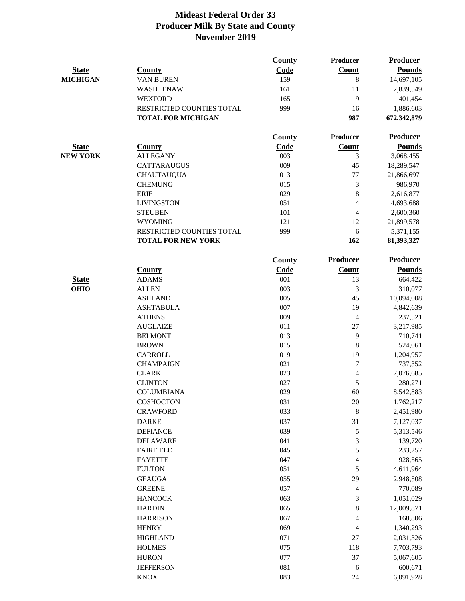|                 |                                     | <b>County</b> | Producer        | <b>Producer</b>    |
|-----------------|-------------------------------------|---------------|-----------------|--------------------|
| <b>State</b>    | <b>County</b>                       | Code          | Count           | <b>Pounds</b>      |
| <b>MICHIGAN</b> | <b>VAN BUREN</b>                    | 159           | 8               | 14,697,105         |
|                 | WASHTENAW                           | 161           | 11              | 2,839,549          |
|                 | <b>WEXFORD</b>                      | 165           | 9               | 401,454            |
|                 | RESTRICTED COUNTIES TOTAL           | 999           | 16              | 1,886,603          |
|                 | <b>TOTAL FOR MICHIGAN</b>           |               | 987             | 672,342,879        |
|                 |                                     | <b>County</b> | Producer        | <b>Producer</b>    |
| <b>State</b>    | <b>County</b>                       | Code          | Count           | <b>Pounds</b>      |
| <b>NEW YORK</b> | <b>ALLEGANY</b>                     | 003           | $\mathfrak{Z}$  | 3,068,455          |
|                 | <b>CATTARAUGUS</b>                  | 009           | 45              | 18,289,547         |
|                 | <b>CHAUTAUQUA</b>                   | 013           | 77              | 21,866,697         |
|                 | <b>CHEMUNG</b>                      | 015           | $\mathfrak{Z}$  | 986,970            |
|                 | <b>ERIE</b>                         | 029           | $\,$ 8 $\,$     | 2,616,877          |
|                 | <b>LIVINGSTON</b>                   | 051           | $\overline{4}$  | 4,693,688          |
|                 | <b>STEUBEN</b>                      | 101           | $\overline{4}$  | 2,600,360          |
|                 | <b>WYOMING</b>                      | 121           | 12              | 21,899,578         |
|                 | RESTRICTED COUNTIES TOTAL           | 999           | 6               | 5,371,155          |
|                 | <b>TOTAL FOR NEW YORK</b>           |               | 162             | 81,393,327         |
|                 |                                     | County        | <b>Producer</b> | <b>Producer</b>    |
|                 | <b>County</b>                       | Code          | Count           | <b>Pounds</b>      |
| <b>State</b>    | <b>ADAMS</b>                        | 001           | 13              | 664,422            |
| <b>OHIO</b>     | <b>ALLEN</b>                        | 003           | $\mathfrak{Z}$  | 310,077            |
|                 | <b>ASHLAND</b>                      | 005           | 45              | 10,094,008         |
|                 | <b>ASHTABULA</b>                    | 007           | 19              | 4,842,639          |
|                 | <b>ATHENS</b>                       | 009           | $\overline{4}$  | 237,521            |
|                 | <b>AUGLAIZE</b>                     | 011           | $27\,$          | 3,217,985          |
|                 | <b>BELMONT</b>                      | 013           | 9               | 710,741            |
|                 | <b>BROWN</b>                        | 015           | 8               | 524,061            |
|                 | <b>CARROLL</b>                      | 019           | 19              | 1,204,957          |
|                 | <b>CHAMPAIGN</b>                    | 021           | $\tau$          | 737,352            |
|                 | <b>CLARK</b>                        | 023           | 4               | 7,076,685          |
|                 | <b>CLINTON</b>                      | 027           | 5               | 280,271            |
|                 | <b>COLUMBIANA</b>                   | 029           | 60              | 8,542,883          |
|                 | <b>COSHOCTON</b>                    | 031           | $20\,$          | 1,762,217          |
|                 | <b>CRAWFORD</b>                     | 033           | $\,8\,$         | 2,451,980          |
|                 | <b>DARKE</b>                        | 037           | 31              | 7,127,037          |
|                 | <b>DEFIANCE</b>                     | 039           | $\mathfrak s$   | 5,313,546          |
|                 | <b>DELAWARE</b><br><b>FAIRFIELD</b> | 041<br>045    | $\sqrt{3}$<br>5 | 139,720<br>233,257 |
|                 | <b>FAYETTE</b>                      | 047           | 4               | 928,565            |
|                 | <b>FULTON</b>                       | 051           | 5               | 4,611,964          |
|                 | <b>GEAUGA</b>                       | 055           | 29              | 2,948,508          |
|                 | <b>GREENE</b>                       | 057           | 4               | 770,089            |
|                 | <b>HANCOCK</b>                      | 063           | 3               | 1,051,029          |
|                 |                                     |               | $\,8\,$         |                    |
|                 | <b>HARDIN</b>                       | 065           |                 | 12,009,871         |
|                 | <b>HARRISON</b>                     | 067           | 4               | 168,806            |
|                 | <b>HENRY</b>                        | 069           | $\overline{4}$  | 1,340,293          |
|                 | <b>HIGHLAND</b>                     | 071           | 27              | 2,031,326          |
|                 | <b>HOLMES</b>                       | 075           | 118             | 7,703,793          |
|                 | <b>HURON</b>                        | 077           | 37              | 5,067,605          |
|                 | <b>JEFFERSON</b>                    | 081           | 6               | 600,671            |
|                 | <b>KNOX</b>                         | 083           | 24              | 6,091,928          |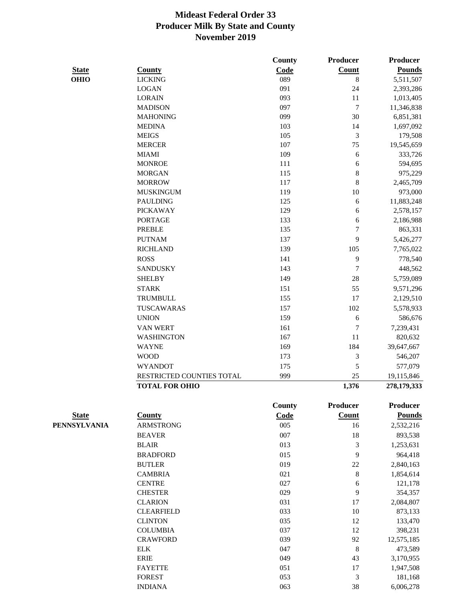|              |                           | County        | <b>Producer</b>  | Producer        |
|--------------|---------------------------|---------------|------------------|-----------------|
| <b>State</b> | <b>County</b>             | Code          | Count            | <b>Pounds</b>   |
| <b>OHIO</b>  | <b>LICKING</b>            | 089           | $\,8\,$          | 5,511,507       |
|              | <b>LOGAN</b>              | 091           | 24               | 2,393,286       |
|              | <b>LORAIN</b>             | 093           | 11               | 1,013,405       |
|              | <b>MADISON</b>            | 097           | $\boldsymbol{7}$ | 11,346,838      |
|              | <b>MAHONING</b>           | 099           | 30               | 6,851,381       |
|              | <b>MEDINA</b>             | 103           | 14               | 1,697,092       |
|              | <b>MEIGS</b>              | 105           | $\mathfrak{Z}$   | 179,508         |
|              | <b>MERCER</b>             | 107           | 75               | 19,545,659      |
|              | <b>MIAMI</b>              | 109           | 6                | 333,726         |
|              | <b>MONROE</b>             | 111           | 6                | 594,695         |
|              | <b>MORGAN</b>             | 115           | $\,8$            | 975,229         |
|              | <b>MORROW</b>             | 117           | 8                | 2,465,709       |
|              | <b>MUSKINGUM</b>          | 119           | 10               | 973,000         |
|              | <b>PAULDING</b>           | 125           | 6                | 11,883,248      |
|              | <b>PICKAWAY</b>           | 129           | 6                | 2,578,157       |
|              | <b>PORTAGE</b>            | 133           | 6                | 2,186,988       |
|              | <b>PREBLE</b>             | 135           | $\overline{7}$   | 863,331         |
|              | <b>PUTNAM</b>             | 137           | 9                | 5,426,277       |
|              | <b>RICHLAND</b>           | 139           | 105              | 7,765,022       |
|              | <b>ROSS</b>               | 141           | 9                | 778,540         |
|              | <b>SANDUSKY</b>           | 143           | $\overline{7}$   | 448,562         |
|              | <b>SHELBY</b>             | 149           | 28               | 5,759,089       |
|              | <b>STARK</b>              | 151           | 55               | 9,571,296       |
|              |                           |               | 17               |                 |
|              | <b>TRUMBULL</b>           | 155           |                  | 2,129,510       |
|              | <b>TUSCAWARAS</b>         | 157           | 102              | 5,578,933       |
|              | <b>UNION</b>              | 159           | 6                | 586,676         |
|              | <b>VAN WERT</b>           | 161           | $\boldsymbol{7}$ | 7,239,431       |
|              | <b>WASHINGTON</b>         | 167           | 11               | 820,632         |
|              | <b>WAYNE</b>              | 169           | 184              | 39,647,667      |
|              | <b>WOOD</b>               | 173           | 3                | 546,207         |
|              | <b>WYANDOT</b>            | 175           | 5                | 577,079         |
|              | RESTRICTED COUNTIES TOTAL | 999           | 25               | 19,115,846      |
|              | <b>TOTAL FOR OHIO</b>     |               | 1,376            | 278,179,333     |
|              |                           | <b>County</b> | <b>Producer</b>  | <b>Producer</b> |
| <b>State</b> | <b>County</b>             | Code          | <b>Count</b>     | <b>Pounds</b>   |
| PENNSYLVANIA | <b>ARMSTRONG</b>          | 005           | 16               | 2,532,216       |
|              | <b>BEAVER</b>             | 007           | 18               | 893,538         |
|              | <b>BLAIR</b>              | 013           | $\mathfrak{Z}$   | 1,253,631       |
|              | <b>BRADFORD</b>           | 015           | 9                | 964,418         |
|              | <b>BUTLER</b>             | 019           | $22\,$           | 2,840,163       |
|              | <b>CAMBRIA</b>            | 021           | $\,8\,$          | 1,854,614       |
|              | <b>CENTRE</b>             | 027           | $\sqrt{6}$       | 121,178         |
|              | <b>CHESTER</b>            | 029           | 9                | 354,357         |
|              | <b>CLARION</b>            | 031           | 17               | 2,084,807       |
|              | <b>CLEARFIELD</b>         | 033           | 10               | 873,133         |
|              | <b>CLINTON</b>            | 035           | 12               | 133,470         |
|              | <b>COLUMBIA</b>           | 037           | 12               | 398,231         |
|              | <b>CRAWFORD</b>           | 039           | 92               | 12,575,185      |
|              | <b>ELK</b>                | 047           | $\,8\,$          | 473,589         |
|              | <b>ERIE</b>               | 049           | 43               | 3,170,955       |
|              | <b>FAYETTE</b>            | 051           | 17               | 1,947,508       |
|              | <b>FOREST</b>             | 053           | 3                | 181,168         |

INDIANA 063 38 6,006,278